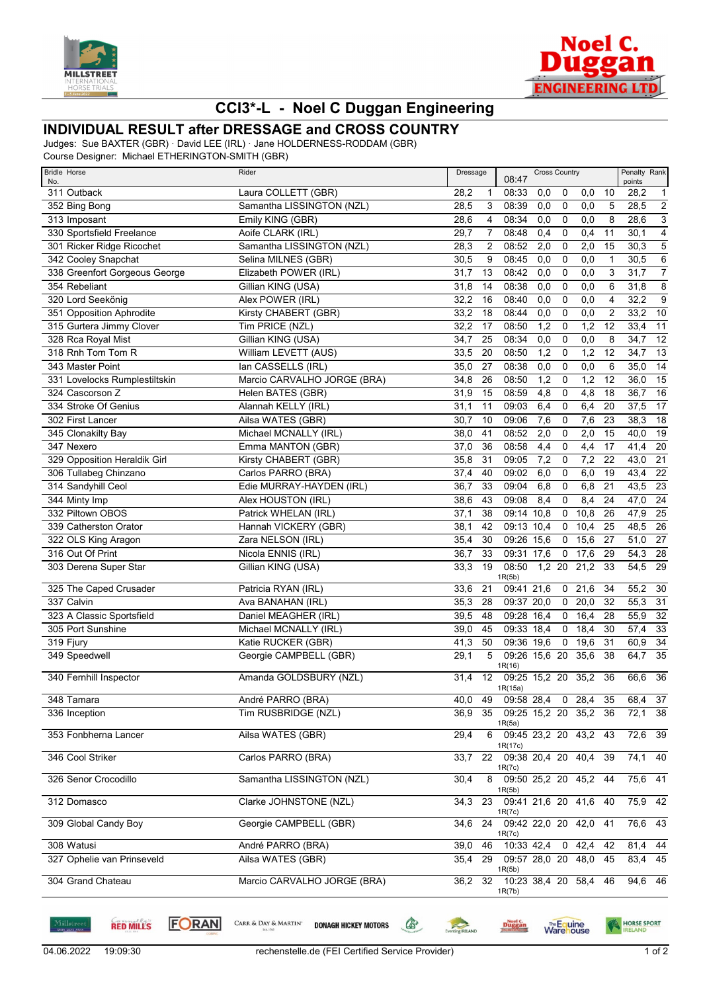



## **CCI3\*-L - Noel C Duggan Engineering**

## **INDIVIDUAL RESULT after DRESSAGE and CROSS COUNTRY**

Judges: Sue BAXTER (GBR) · David LEE (IRL) · Jane HOLDERNESS-RODDAM (GBR)

Course Designer: Michael ETHERINGTON-SMITH (GBR)

| <b>Bridle Horse</b><br>No.    | Rider                       | Dressage           |                                    | <b>Cross Country</b><br>08:47 |             |               | Penalty Rank<br>points |                   |                           |
|-------------------------------|-----------------------------|--------------------|------------------------------------|-------------------------------|-------------|---------------|------------------------|-------------------|---------------------------|
| 311 Outback                   | Laura COLLETT (GBR)         | 28,2               | 08:33<br>1                         | 0,0                           | 0           | 0,0           | 10                     | 28,2              | $\overline{1}$            |
| 352 Bing Bong                 | Samantha LISSINGTON (NZL)   | 28,5               | 3<br>08:39                         | 0,0                           | 0           | 0,0           | 5                      | 28,5              | $\overline{2}$            |
| 313 Imposant                  | Emily KING (GBR)            | 28,6               | 08:34<br>4                         | 0,0                           | $\mathbf 0$ | 0,0           | 8                      | 28,6              | $\ensuremath{\mathsf{3}}$ |
| 330 Sportsfield Freelance     | Aoife CLARK (IRL)           | 29,7               | 7<br>08:48                         | 0,4                           | 0           | 0,4           | 11                     | 30,1              | $\overline{4}$            |
| 301 Ricker Ridge Ricochet     | Samantha LISSINGTON (NZL)   | 28,3               | $\overline{c}$<br>08:52            | 2,0                           | $\mathbf 0$ | 2,0           | 15                     | 30,3              | $\overline{5}$            |
| 342 Cooley Snapchat           | Selina MILNES (GBR)         | 30,5               | 08:45<br>9                         | 0,0                           | 0           | 0,0           | $\mathbf{1}$           | 30,5              | $\overline{6}$            |
| 338 Greenfort Gorgeous George | Elizabeth POWER (IRL)       | 31,7<br>13         | 08:42                              | 0,0                           | 0           | 0,0           | 3                      | 31,7              | $\overline{7}$            |
| 354 Rebeliant                 | Gillian KING (USA)          | 31,8<br>14         | 08:38                              | 0,0                           | 0           | 0,0           | 6                      | 31,8              | 8                         |
| 320 Lord Seekönig             | Alex POWER (IRL)            | 32,2<br>16         | 08:40                              | 0,0                           | $\mathbf 0$ | 0,0           | $\overline{4}$         | 32,2              | $\overline{9}$            |
| 351 Opposition Aphrodite      | Kirsty CHABERT (GBR)        | 33,2<br>18         | 08:44                              | 0,0                           | 0           | 0,0           | $\overline{2}$         | 33,2              | $\overline{10}$           |
| 315 Gurtera Jimmy Clover      | Tim PRICE (NZL)             | 32,2<br>17         | 08:50                              | 1,2                           | 0           | 1,2           | 12                     | 33,4              | $\overline{11}$           |
| 328 Rca Royal Mist            | Gillian KING (USA)          | 34,7<br>25         | 08:34                              | 0,0                           | 0           | 0,0           | 8                      | 34,7              | $\overline{12}$           |
| 318 Rnh Tom Tom R             | William LEVETT (AUS)        | 33,5<br>20         | 08:50                              | $\overline{1,2}$              | 0           | 1,2           | 12                     | 34,7              | $\overline{13}$           |
| 343 Master Point              | lan CASSELLS (IRL)          | 35,0<br>27         | 08:38                              | 0,0                           | $\mathbf 0$ | 0,0           | 6                      | 35,0              | $\overline{14}$           |
| 331 Lovelocks Rumplestiltskin | Marcio CARVALHO JORGE (BRA) | 26<br>34,8         | 08:50                              | 1,2                           | 0           | 1,2           | 12                     | 36,0              | $\overline{15}$           |
| 324 Cascorson Z               | Helen BATES (GBR)           | 31,9<br>15         | 08:59                              | 4,8                           | 0           | 4,8           | 18                     | 36,7              | 16                        |
| 334 Stroke Of Genius          | Alannah KELLY (IRL)         | 11                 | 09:03                              |                               | 0           | 6,4           |                        |                   | $\overline{17}$           |
| 302 First Lancer              | Ailsa WATES (GBR)           | 31,1<br>30,7<br>10 | 09:06                              | 6,4                           |             |               | 20<br>23               | 37,5<br>38,3      | $\overline{18}$           |
|                               |                             |                    | 08:52                              | 7,6                           | 0           | 7,6           |                        |                   |                           |
| 345 Clonakilty Bay            | Michael MCNALLY (IRL)       | 38,0<br>41         |                                    | 2,0                           | 0           | 2,0           | 15                     | 40,0              | $\overline{19}$           |
| 347 Nexero                    | Emma MANTON (GBR)           | 37,0<br>36         | 08:58                              | 4,4                           | $\mathbf 0$ | 4,4           | 17                     | 41,4              | $\overline{20}$           |
| 329 Opposition Heraldik Girl  | Kirsty CHABERT (GBR)        | 35,8<br>31         | 09:05                              | 7,2                           | 0           | 7,2           | 22                     | 43,0              | $\overline{21}$           |
| 306 Tullabeg Chinzano         | Carlos PARRO (BRA)          | 37,4<br>40         | 09:02                              | 6,0                           | 0           | 6,0           | 19                     | 43,4              | $\overline{22}$           |
| 314 Sandyhill Ceol            | Edie MURRAY-HAYDEN (IRL)    | 36,7<br>33         | 09:04                              | 6,8                           | $\mathbf 0$ | 6,8           | $\overline{21}$        | 43,5              | $\overline{23}$           |
| 344 Minty Imp                 | Alex HOUSTON (IRL)          | 38,6<br>43         | 09:08                              | 8,4                           | 0           | 8,4           | 24                     | 47,0              | $\overline{24}$           |
| 332 Piltown OBOS              | Patrick WHELAN (IRL)        | 37,1<br>38         |                                    | 09:14 10.8                    | 0           | 10,8          | 26                     | 47,9              | $\overline{25}$           |
| 339 Catherston Orator         | Hannah VICKERY (GBR)        | 38,1<br>42         |                                    | 09:13 10,4                    | 0           | 10,4          | 25                     | 48,5              | $\overline{26}$           |
| 322 OLS King Aragon           | Zara NELSON (IRL)           | 35,4<br>30         | 09:26                              | 15,6                          | 0           | 15,6          | 27                     | 51,0              | $\overline{27}$           |
| 316 Out Of Print              | Nicola ENNIS (IRL)          | 36,7<br>33         |                                    | 09:31 17,6                    | $\mathsf 0$ | 17,6          | 29                     | 54,3              | $\overline{28}$           |
| 303 Derena Super Star         | Gillian KING (USA)          | 19<br>33,3         | 08:50<br>1R(5b)                    |                               | $1,2$ 20    | 21,2          | 33                     | $\overline{54,5}$ | $\overline{29}$           |
| 325 The Caped Crusader        | Patricia RYAN (IRL)         | 21<br>33,6         |                                    | 09:41 21,6                    | $\mathbf 0$ | 21,6          | 34                     | 55,2              | 30                        |
| 337 Calvin                    | Ava BANAHAN (IRL)           | 35,3<br>28         |                                    | 09:37 20,0                    | $\mathbf 0$ | 20,0          | 32                     | 55,3              | $\overline{31}$           |
| 323 A Classic Sportsfield     | Daniel MEAGHER (IRL)        | 39,5<br>48         |                                    | 09:28 16,4                    | 0           | 16,4          | 28                     | 55,9              | $\overline{32}$           |
| 305 Port Sunshine             | Michael MCNALLY (IRL)       | 39,0<br>45         |                                    | 09:33 18,4                    | 0           | 18,4          | 30                     | 57,4              | $\overline{33}$           |
| 319 Fjury                     | Katie RUCKER (GBR)          | 41,3<br>50         |                                    | 09:36 19,6                    | $\mathbf 0$ | 19,6          | 31                     | 60,9              | $\overline{34}$           |
| 349 Speedwell                 | Georgie CAMPBELL (GBR)      | 29,1               | 5                                  | 09:26 15,6 20                 |             | 35,6          | 38                     | 64,7              | $\overline{35}$           |
|                               |                             |                    | 1R(16)                             |                               |             |               |                        |                   |                           |
| 340 Fernhill Inspector        | Amanda GOLDSBURY (NZL)      | 12<br>31,4         | 1R(15a)                            | 09:25 15,2 20                 |             | 35,2          | 36                     | 66,6              | 36                        |
| 348 Tamara                    | André PARRO (BRA)           | 40,0               | 49                                 | 09:58 28,4 0 28,4 35          |             |               |                        | 68,4 37           |                           |
| 336 Inception                 | Tim RUSBRIDGE (NZL)         | 36,9               | 35                                 | 09:25 15,2 20 35,2            |             |               | 36                     | 72,1 38           |                           |
| 353 Fonbherna Lancer          | Ailsa WATES (GBR)           | 29,4               | 1R(5a)<br>6 09:45 23,2 20 43,2 43  |                               |             |               |                        | $72,6$ 39         |                           |
|                               |                             |                    | 1R(17c)                            |                               |             |               |                        |                   |                           |
| 346 Cool Striker              | Carlos PARRO (BRA)          | 33,7               | 22 09:38 20,4 20 40,4 39           |                               |             |               |                        | $74,1$ 40         |                           |
| 326 Senor Crocodillo          | Samantha LISSINGTON (NZL)   | 30,4               | 1R(7c)<br>8                        | 09:50 25,2 20 45,2 44         |             |               |                        | $75,6$ 41         |                           |
|                               |                             |                    | 1R(5b)                             |                               |             |               |                        |                   |                           |
| 312 Domasco                   | Clarke JOHNSTONE (NZL)      | 34,3               | 23<br>1R(7c)                       | 09:41 21,6 20 41,6 40         |             |               |                        | $75,9$ 42         |                           |
| 309 Global Candy Boy          | Georgie CAMPBELL (GBR)      | 24<br>34,6         |                                    | 09:42 22,0 20 42,0 41         |             |               |                        | 76,6 43           |                           |
| 308 Watusi                    |                             |                    | 1R(7c)                             |                               |             |               | 42                     |                   |                           |
|                               | André PARRO (BRA)           | 39,0               | 46                                 | 10:33 42,4                    |             | $0\quad 42,4$ |                        | 81,4 44           |                           |
| 327 Ophelie van Prinseveld    | Ailsa WATES (GBR)           | 35,4               | 29 09:57 28,0 20 48,0 45<br>1R(5b) |                               |             |               |                        | 83,4 45           |                           |
| 304 Grand Chateau             | Marcio CARVALHO JORGE (BRA) | 36,2               | 32 10:23 38,4 20 58,4 46           |                               |             |               |                        | 94,6 46           |                           |
|                               |                             |                    | 1R(7b)                             |                               |             |               |                        |                   |                           |

**RED MILLS** 

**FORAN** 

CARR & DAY & MARTIN'

**DONAGH HICKEY MOTORS** 

**Executing RELAND** 

**Duggan** 

**Warehouse** 

 $\begin{picture}(220,20) \put(0,0){\line(1,0){10}} \put(15,0){\line(1,0){10}} \put(15,0){\line(1,0){10}} \put(15,0){\line(1,0){10}} \put(15,0){\line(1,0){10}} \put(15,0){\line(1,0){10}} \put(15,0){\line(1,0){10}} \put(15,0){\line(1,0){10}} \put(15,0){\line(1,0){10}} \put(15,0){\line(1,0){10}} \put(15,0){\line(1,0){10}} \put(15,0){\line($ 

HORSE SPORT